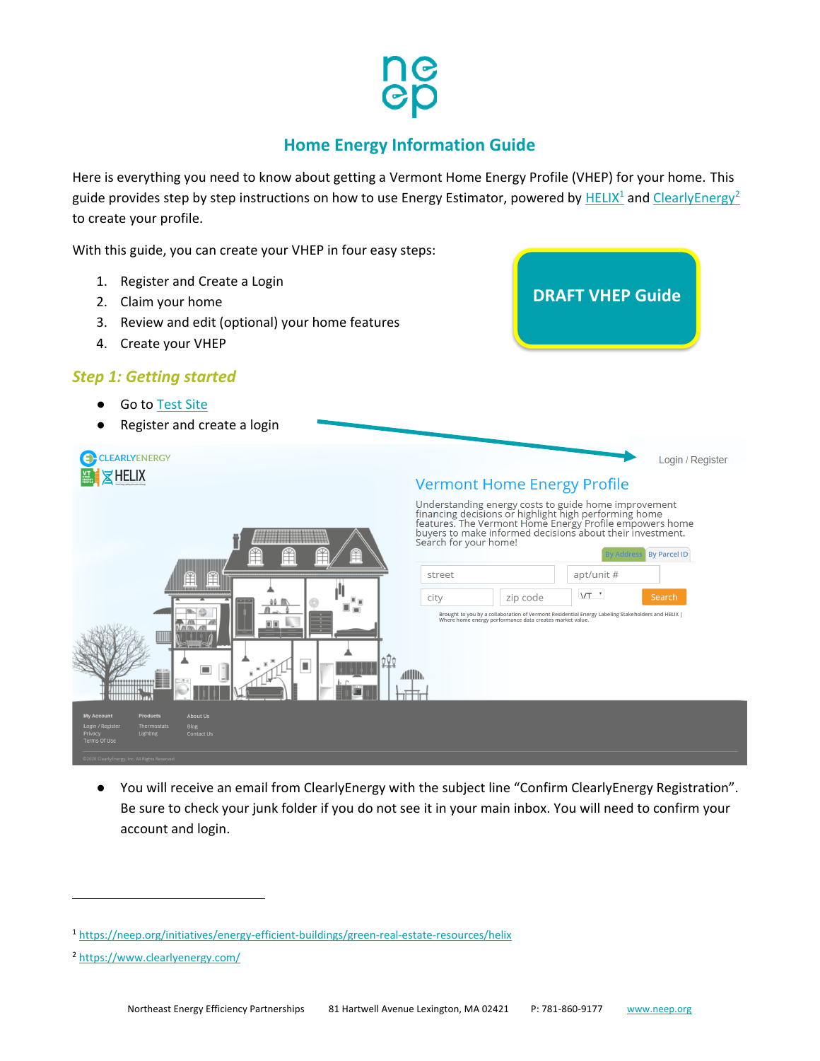# **Home Energy Information Guide**

Here is everything you need to know about getting a Vermont Home Energy Profile (VHEP) for your home. This guide provides step by step instructions on how to use Energy Estimator, powered by [HELIX](https://neep.org/initiatives/energy-efficient-buildings/green-real-estate-resources/helix)<sup>1</sup> and [ClearlyEnergy](https://www.clearlyenergy.com/)<sup>2</sup> to create your profile.

With this guide, you can create your VHEP in four easy steps:

- 1. Register and Create a Login **DRAFT VHEP Guide** 2. Claim your home 3. Review and edit (optional) your home features 4. Create your VHEP *Step 1: Getting started* ● Go to [Test Site](http://ce-stage.herokuapp.com/vermont) Register and create a login CLEARLYENERGY Login / Register XHELIX **Vermont Home Energy Profile** Understanding energy costs to guide home improvement<br>financing decisions or highlight high performing home<br>features. The Vermont Home Energy Profile empowers home<br>buyers to make informed decisions about their investment.<br>S **By Parcel ID** apt/unit # street  $VT$ <sup> $\rightarrow$ </sup> city zip code Search éé M Brought to you by a collaboration of Vermont Residential Energy Labeling Stakeholders and HELIX |<br>Where home energy performance data creates market value. п allin
	- You will receive an email from ClearlyEnergy with the subject line "Confirm ClearlyEnergy Registration". Be sure to check your junk folder if you do not see it in your main inbox. You will need to confirm your account and login.

<sup>1</sup> <https://neep.org/initiatives/energy-efficient-buildings/green-real-estate-resources/helix>

<sup>2</sup> <https://www.clearlyenergy.com/>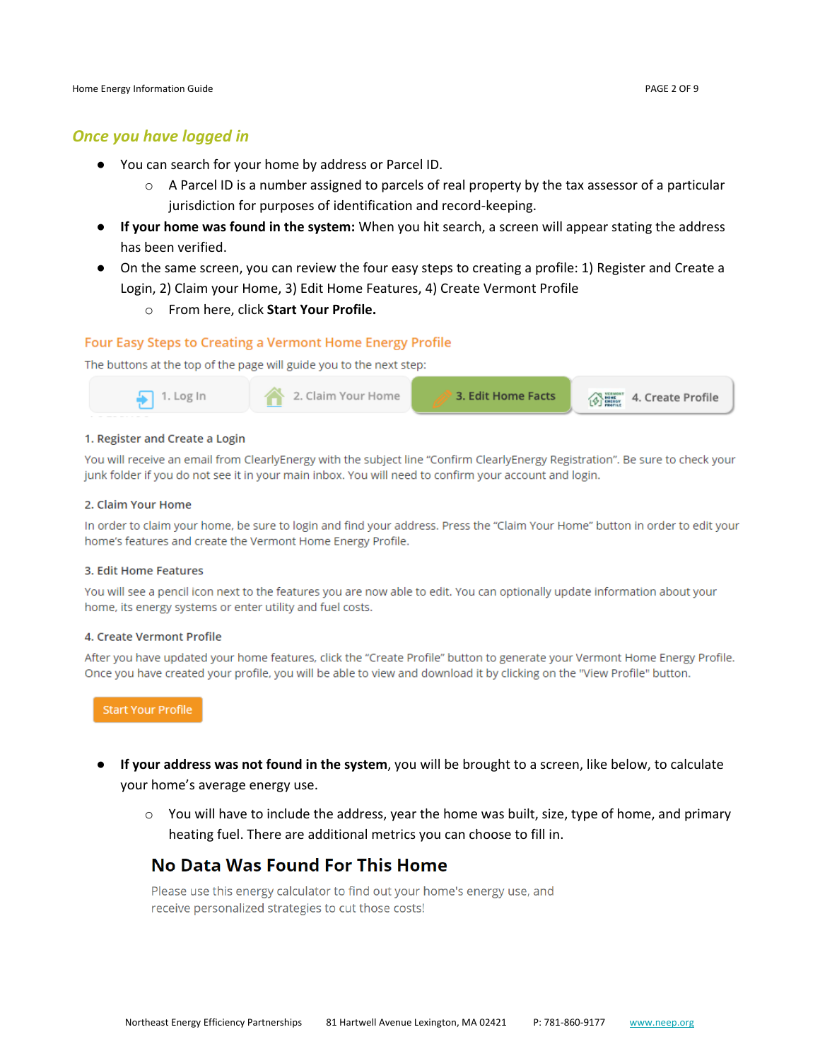## *Once you have logged in*

- You can search for your home by address or Parcel ID.
	- $\circ$  A Parcel ID is a number assigned to parcels of real property by the tax assessor of a particular jurisdiction for purposes of identification and record-keeping.
- **If your home was found in the system:** When you hit search, a screen will appear stating the address has been verified.
- On the same screen, you can review the four easy steps to creating a profile: 1) Register and Create a Login, 2) Claim your Home, 3) Edit Home Features, 4) Create Vermont Profile
	- o From here, click **Start Your Profile.**

## **Four Easy Steps to Creating a Vermont Home Energy Profile**

The buttons at the top of the page will guide you to the next step:



#### 1. Register and Create a Login

You will receive an email from ClearlyEnergy with the subject line "Confirm ClearlyEnergy Registration". Be sure to check your junk folder if you do not see it in your main inbox. You will need to confirm your account and login.

#### 2. Claim Your Home

In order to claim your home, be sure to login and find your address. Press the "Claim Your Home" button in order to edit your home's features and create the Vermont Home Energy Profile.

#### 3. Edit Home Features

You will see a pencil icon next to the features you are now able to edit. You can optionally update information about your home, its energy systems or enter utility and fuel costs.

#### 4. Create Vermont Profile

After you have updated your home features, click the "Create Profile" button to generate your Vermont Home Energy Profile. Once you have created your profile, you will be able to view and download it by clicking on the "View Profile" button.

**Start Your Profile** 

- **If your address was not found in the system**, you will be brought to a screen, like below, to calculate your home's average energy use.
	- $\circ$  You will have to include the address, year the home was built, size, type of home, and primary heating fuel. There are additional metrics you can choose to fill in.

## No Data Was Found For This Home

Please use this energy calculator to find out your home's energy use, and receive personalized strategies to cut those costs!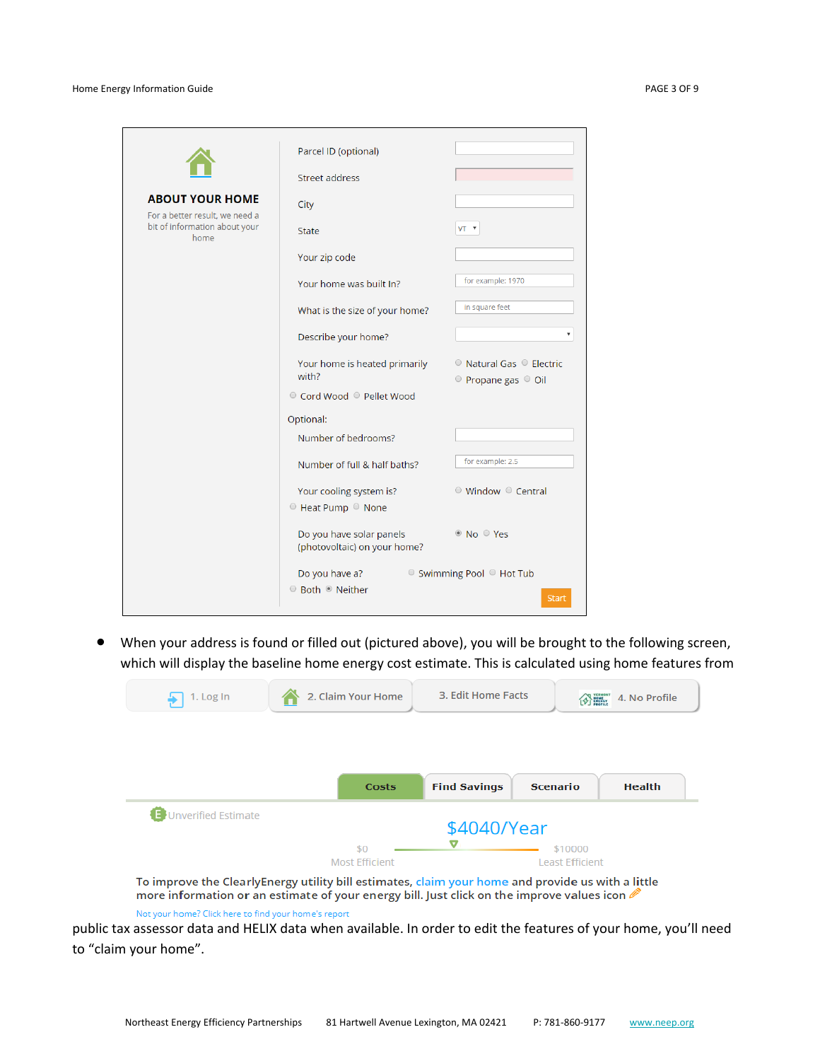|                                                                                                   | Parcel ID (optional)                                     |                                                                         |
|---------------------------------------------------------------------------------------------------|----------------------------------------------------------|-------------------------------------------------------------------------|
|                                                                                                   | Street address                                           |                                                                         |
| <b>ABOUT YOUR HOME</b><br>For a better result, we need a<br>bit of information about your<br>home | City                                                     |                                                                         |
|                                                                                                   | <b>State</b>                                             | VT <b>v</b>                                                             |
|                                                                                                   | Your zip code                                            |                                                                         |
|                                                                                                   | Your home was built In?                                  | for example: 1970                                                       |
|                                                                                                   | What is the size of your home?                           | in square feet                                                          |
|                                                                                                   | Describe your home?                                      |                                                                         |
|                                                                                                   | Your home is heated primarily<br>with?                   | $\circ$ Natural Gas $\circ$ Electric<br>$\circ$ Propane gas $\circ$ Oil |
|                                                                                                   | ◎ Cord Wood ◎ Pellet Wood                                |                                                                         |
|                                                                                                   | Optional:                                                |                                                                         |
|                                                                                                   | Number of bedrooms?                                      |                                                                         |
|                                                                                                   | Number of full & half baths?                             | for example: 2.5                                                        |
|                                                                                                   | Your cooling system is?<br>● Heat Pump ● None            | $\circ$ Window $\circ$ Central                                          |
|                                                                                                   | Do you have solar panels<br>(photovoltaic) on your home? | <sup>◎</sup> No ○ Yes                                                   |
|                                                                                                   | Do you have a?<br>◎ Both ◎ Neither                       | $\circ$ Swimming Pool $\circ$ Hot Tub<br><b>Start</b>                   |

• When your address is found or filled out (pictured above), you will be brought to the following screen, which will display the baseline home energy cost estimate. This is calculated using home features from

| 1. Log In                  | 2. Claim Your Home                                                                                | 3. Edit Home Facts<br>EVER WERNER<br>4. No Profile |                                   |               |
|----------------------------|---------------------------------------------------------------------------------------------------|----------------------------------------------------|-----------------------------------|---------------|
|                            | Costs                                                                                             | <b>Find Savings</b>                                | <b>Scenario</b>                   | <b>Health</b> |
| <b>Unverified Estimate</b> | \$0<br><b>Most Efficient</b>                                                                      | \$4040/Year                                        | \$10000<br><b>Least Efficient</b> |               |
|                            | To improve the ClearlyEnergy utility bill estimates, claim your home and provide us with a little |                                                    |                                   |               |

more information or an estimate of your energy bill. Just click on the improve values icon

Not your home? Click here to find your home's report

public tax assessor data and HELIX data when available. In order to edit the features of your home, you'll need to "claim your home".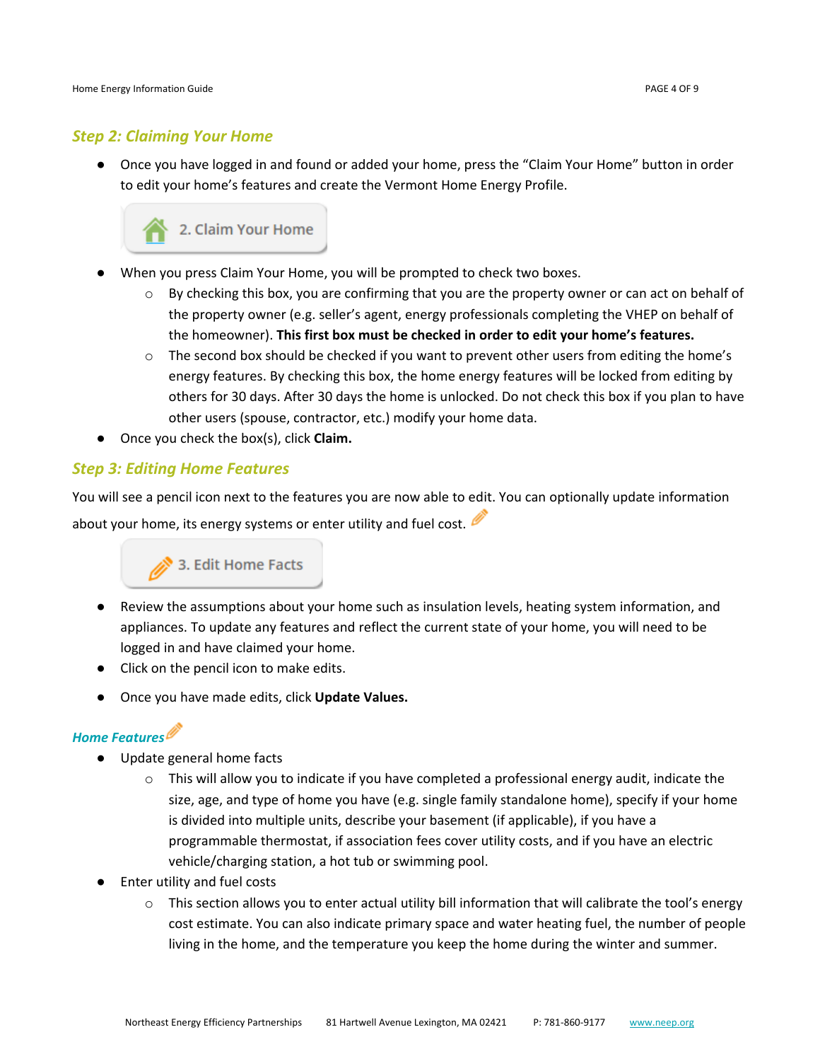## *Step 2: Claiming Your Home*

● Once you have logged in and found or added your home, press the "Claim Your Home" button in order to edit your home's features and create the Vermont Home Energy Profile.



- When you press Claim Your Home, you will be prompted to check two boxes.
	- $\circ$  By checking this box, you are confirming that you are the property owner or can act on behalf of the property owner (e.g. seller's agent, energy professionals completing the VHEP on behalf of the homeowner). **This first box must be checked in order to edit your home's features.**
	- $\circ$  The second box should be checked if you want to prevent other users from editing the home's energy features. By checking this box, the home energy features will be locked from editing by others for 30 days. After 30 days the home is unlocked. Do not check this box if you plan to have other users (spouse, contractor, etc.) modify your home data.
- Once you check the box(s), click **Claim.**

## *Step 3: Editing Home Features*

You will see a pencil icon next to the features you are now able to edit. You can optionally update information about your home, its energy systems or enter utility and fuel cost.



- Review the assumptions about your home such as insulation levels, heating system information, and appliances. To update any features and reflect the current state of your home, you will need to be logged in and have claimed your home.
- Click on the pencil icon to make edits.
- Once you have made edits, click **Update Values.**

## *Home Features*

- Update general home facts
	- $\circ$  This will allow you to indicate if you have completed a professional energy audit, indicate the size, age, and type of home you have (e.g. single family standalone home), specify if your home is divided into multiple units, describe your basement (if applicable), if you have a programmable thermostat, if association fees cover utility costs, and if you have an electric vehicle/charging station, a hot tub or swimming pool.
- **Enter utility and fuel costs** 
	- $\circ$  This section allows you to enter actual utility bill information that will calibrate the tool's energy cost estimate. You can also indicate primary space and water heating fuel, the number of people living in the home, and the temperature you keep the home during the winter and summer.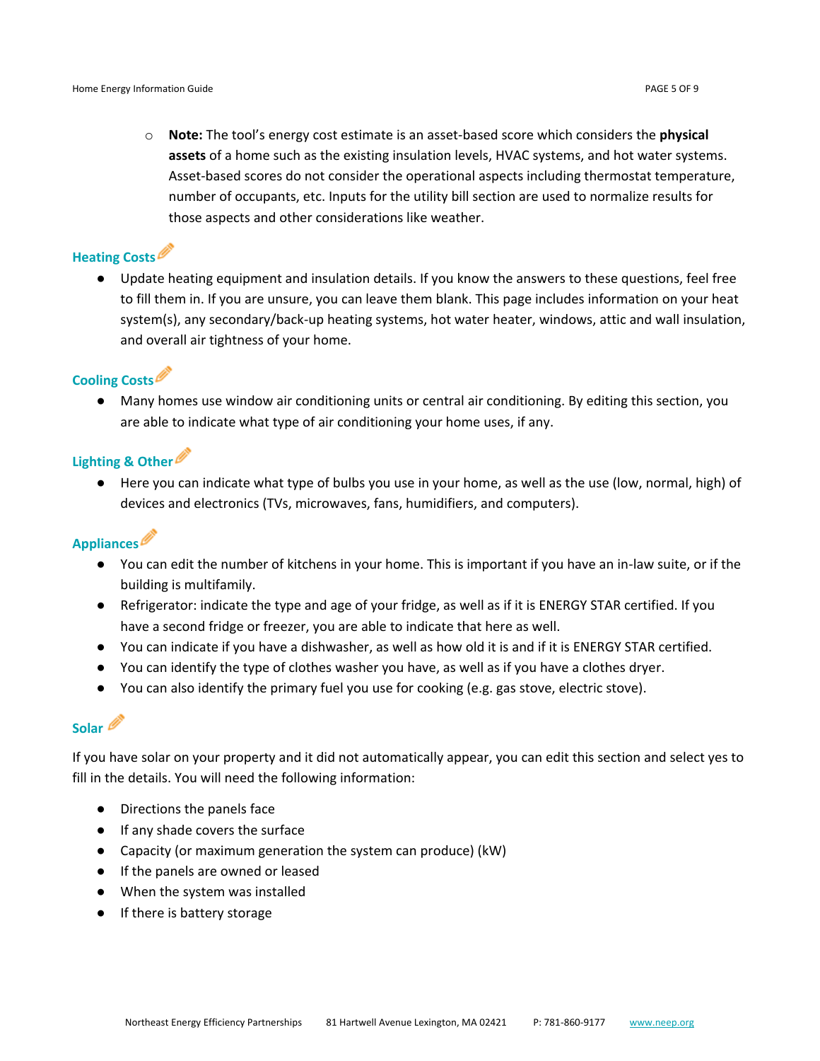o **Note:** The tool's energy cost estimate is an asset-based score which considers the **physical assets** of a home such as the existing insulation levels, HVAC systems, and hot water systems. Asset-based scores do not consider the operational aspects including thermostat temperature, number of occupants, etc. Inputs for the utility bill section are used to normalize results for those aspects and other considerations like weather.

## **Heating Costs**

● Update heating equipment and insulation details. If you know the answers to these questions, feel free to fill them in. If you are unsure, you can leave them blank. This page includes information on your heat system(s), any secondary/back-up heating systems, hot water heater, windows, attic and wall insulation, and overall air tightness of your home.

## **Cooling Costs**

● Many homes use window air conditioning units or central air conditioning. By editing this section, you are able to indicate what type of air conditioning your home uses, if any.

## **Lighting & Other**

● Here you can indicate what type of bulbs you use in your home, as well as the use (low, normal, high) of devices and electronics (TVs, microwaves, fans, humidifiers, and computers).

## **Appliances**

- You can edit the number of kitchens in your home. This is important if you have an in-law suite, or if the building is multifamily.
- Refrigerator: indicate the type and age of your fridge, as well as if it is ENERGY STAR certified. If you have a second fridge or freezer, you are able to indicate that here as well.
- You can indicate if you have a dishwasher, as well as how old it is and if it is ENERGY STAR certified.
- You can identify the type of clothes washer you have, as well as if you have a clothes dryer.
- You can also identify the primary fuel you use for cooking (e.g. gas stove, electric stove).

## **Solar**

If you have solar on your property and it did not automatically appear, you can edit this section and select yes to fill in the details. You will need the following information:

- Directions the panels face
- If any shade covers the surface
- Capacity (or maximum generation the system can produce) (kW)
- If the panels are owned or leased
- When the system was installed
- If there is battery storage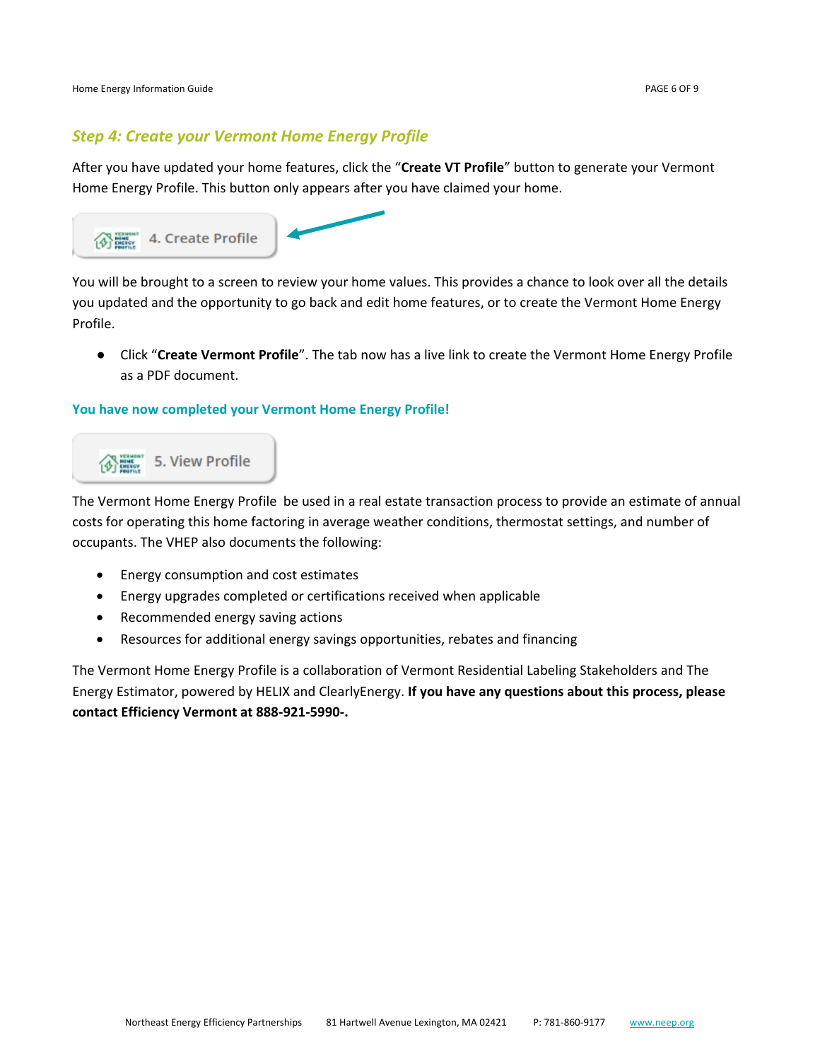Home Energy Information Guide **PAGE 6 OF 9** and the energy information Guide PAGE 6 OF 9

## *Step 4: Create your Vermont Home Energy Profile*

After you have updated your home features, click the "**Create VT Profile**" button to generate your Vermont Home Energy Profile. This button only appears after you have claimed your home.



You will be brought to a screen to review your home values. This provides a chance to look over all the details you updated and the opportunity to go back and edit home features, or to create the Vermont Home Energy Profile.

● Click "**Create Vermont Profile**". The tab now has a live link to create the Vermont Home Energy Profile as a PDF document.

## **You have now completed your Vermont Home Energy Profile!**



The Vermont Home Energy Profile be used in a real estate transaction process to provide an estimate of annual costs for operating this home factoring in average weather conditions, thermostat settings, and number of occupants. The VHEP also documents the following:

- Energy consumption and cost estimates
- Energy upgrades completed or certifications received when applicable
- Recommended energy saving actions
- Resources for additional energy savings opportunities, rebates and financing

The Vermont Home Energy Profile is a collaboration of Vermont Residential Labeling Stakeholders and The Energy Estimator, powered by HELIX and ClearlyEnergy. **If you have any questions about this process, please contact Efficiency Vermont at 888-921-5990-.**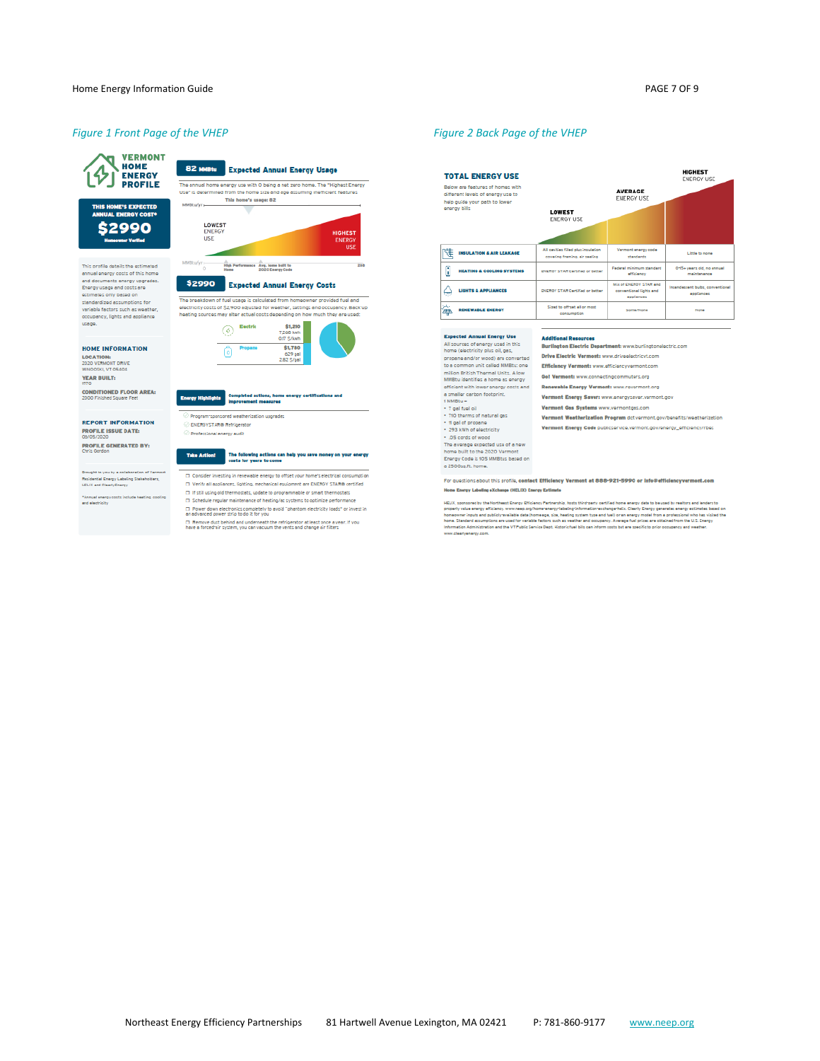## *Figure 1 Front Page of the VHEP Figure 2 Back Page of the VHEP*



THIS HOME'S EXPECTED<br>ANNUAL ENERGY COST\*

\$2990

This profile details the estimated

annual energy costs of this home and documents energy upgrades.<br>Energy usage and costs are

variable factors such as weather,<br>occupancy, lights and appliance

**HOME INFORMATION** 

**CONDITIONED FLOOR AREA:**<br>2000 Finished Square Feet

**REPORT INFORMATION** 

**DONS/2020**<br>**PROFILE GENERATED BY:**<br>Chris Gordon

Residential Energy Labeling Stakeholders,<br>HELIX and ClearlyEnergy

"Annual energy costs include heating, cooling<br>and electricity

**PROFILE ISSUE DATE:**<br>06/05/2020

ght to you by a collab

**FIOME THE ORMA<br>LOCATION:**<br>2020 VERMONT DRIVE<br>WINOOSKI, VT 05404

YEAR BUILT:

estimates only based on standardized assumptions for

usage.

## 82 MMBtu Expected Annual Energy Usage



#### \$2990 Expected Annual Energy Costs

-<br>The breekdown of fuel usage is calculated from homeowner provided fuel and<br>- electricity costs of \$2,900 adjusted for weather, settings and occupancy. Back<br>- heating sources may alter actual costs depending on how much t ousge is concluded from momentum in order real of<br>100 adjusted for weather, settings and occupancy. Be<br>ter actual costs depending on how much they are use





#### **Energy Highlights** Completed actions, home a nergy certil

Program-sponsored weatherization upgrades

#### ENERGYSTAR® Refrigerator

Professional energy audit

## Take Action! The following actions can help you save money on your energy<br>costs for years to come

- D Consider investing in renewable energy to offset your home's electrical consumption
- □ Verify all appliances, lighting, mechanical equipment are ENEMGY STAM® certified □ If still using old thermostats, update to programmable or smart thermostats
- □ Schedule regular maintenance of heating/ac systems to optimize performance
- □ Power down electronics completely to avoid "phantom electricity loads" or invest in<br>an advanced power strip to do it for you
- $\Box$  . Remove dust behind and underneath the refrigerator at least once a year. If you<br>have a forced air system, you can vacuum the vents and change air filters

**HIGHEST**<br>ENERGY USE **TOTAL ENERGY USE** Below are features of homes with<br>different levels of energy use to<br>help guide your path to lower<br>energy bills **AVERAGE**<br>ENERGY USE **LOWEST** ENERGY USE All cevibles filled plus insulation<br>covering framing, air seeling Vermont energy code<br>standards  $\mathbb{R}^+$  insulation & air leakage Little to none .<br>Federal minimum standard 045+ years old, no annual HEATING & COOLING SYSTEMS **ENEROY STAR Certified or better** Mix of ENEROY STAR and<br>conventional lights and ent bulbs, conv<br>annilances  $\bigoplus$  lights a appliances **ENEROY STAR Certified or bette** entis<br>... Sized to offrest all or most **THE RENEWABLE ENERGY** Some/None **None** 

## **Expected Annual Energy Use**

Expected Annual Energy Use<br>  $\frac{1}{2}$  Expected Annual Energy used in this<br>
homo (also<br>through on the control of the control of the control of the control<br>
to a common unit called MMBLu: one<br>
million British Therman Units. Renewable Energy Vermont: www.revermont.org Vermont Gas Systems www.vermontgas.com Vermont Westherization Program def.vermont.gov/benefits/westherization . . OS cords of wood The average expected use of a new<br>home built to the 2020 Vermont Energy Code is 105 MMBtus based on<br>a 2500sq.ft. home.

Additional Resources<br>Burlington Electric Department: www.burlingtonelectric.com Drive Electric Vermont: www.driveelectricvt.com Efficiency Vermont: www.efficiencyvermont.com Gol Vermont: www.connectingcommuters.org

Vermont Energy Saver: www.energysaver.vermont.gov

Vermont Energy Code publicservice.vermont.gov/energy\_efficiency/rbes

For questions about this profile, contact Efficiency Vermont at 888-921-5990 or info@efficiencyvern Home Energy Labeling eXchange (HELIX) Energy Estimate

kELIX, sponsored by the Northeast Energy Efficiency Pertnership, hosts third party certified home warry data to bused by realtors and lenders to<br>properly value energy efficiency, www.neas org/home-rearcy-inferential revenu www.clearlyenergy.com.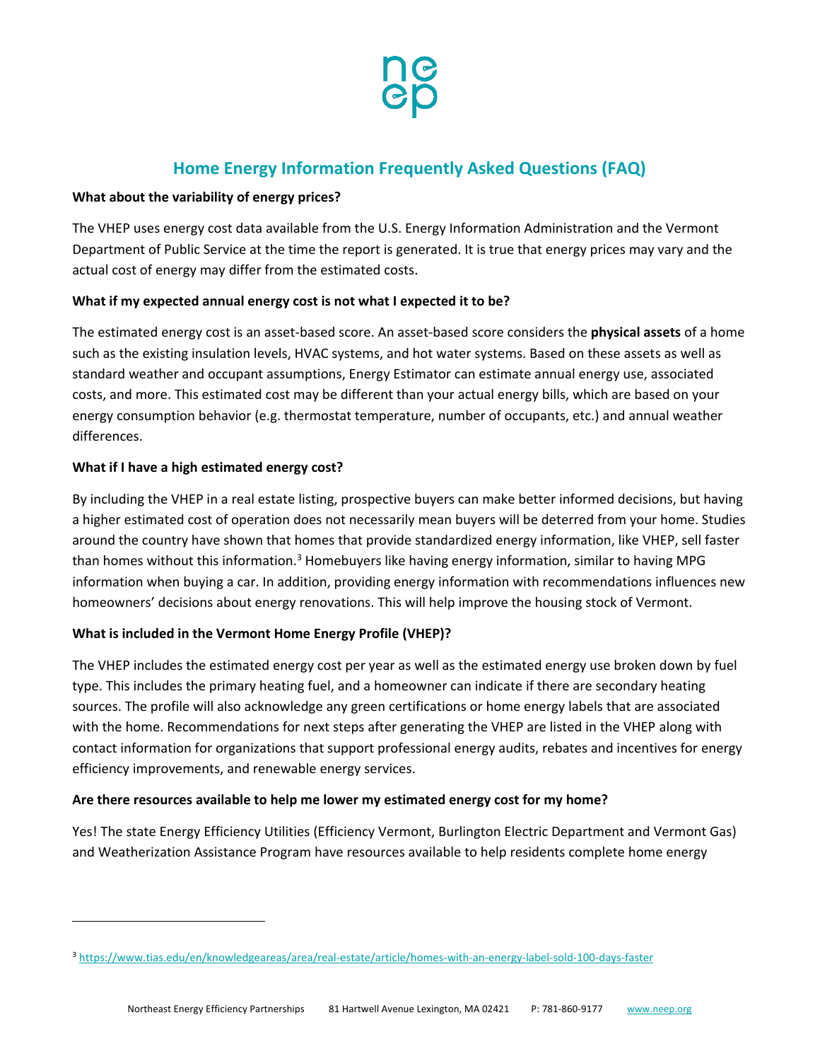

## **Home Energy Information Frequently Asked Questions (FAQ)**

## **What about the variability of energy prices?**

The VHEP uses energy cost data available from the U.S. Energy Information Administration and the Vermont Department of Public Service at the time the report is generated. It is true that energy prices may vary and the actual cost of energy may differ from the estimated costs.

## **What if my expected annual energy cost is not what I expected it to be?**

The estimated energy cost is an asset-based score. An asset-based score considers the **physical assets** of a home such as the existing insulation levels, HVAC systems, and hot water systems. Based on these assets as well as standard weather and occupant assumptions, Energy Estimator can estimate annual energy use, associated costs, and more. This estimated cost may be different than your actual energy bills, which are based on your energy consumption behavior (e.g. thermostat temperature, number of occupants, etc.) and annual weather differences.

## **What if I have a high estimated energy cost?**

By including the VHEP in a real estate listing, prospective buyers can make better informed decisions, but having a higher estimated cost of operation does not necessarily mean buyers will be deterred from your home. Studies around the country have shown that homes that provide standardized energy information, like VHEP, sell faster than homes without this information.<sup>3</sup> Homebuyers like having energy information, similar to having MPG information when buying a car. In addition, providing energy information with recommendations influences new homeowners' decisions about energy renovations. This will help improve the housing stock of Vermont.

## **What is included in the Vermont Home Energy Profile (VHEP)?**

The VHEP includes the estimated energy cost per year as well as the estimated energy use broken down by fuel type. This includes the primary heating fuel, and a homeowner can indicate if there are secondary heating sources. The profile will also acknowledge any green certifications or home energy labels that are associated with the home. Recommendations for next steps after generating the VHEP are listed in the VHEP along with contact information for organizations that support professional energy audits, rebates and incentives for energy efficiency improvements, and renewable energy services.

## **Are there resources available to help me lower my estimated energy cost for my home?**

Yes! The state Energy Efficiency Utilities (Efficiency Vermont, Burlington Electric Department and Vermont Gas) and Weatherization Assistance Program have resources available to help residents complete home energy

<sup>3</sup> <https://www.tias.edu/en/knowledgeareas/area/real-estate/article/homes-with-an-energy-label-sold-100-days-faster>